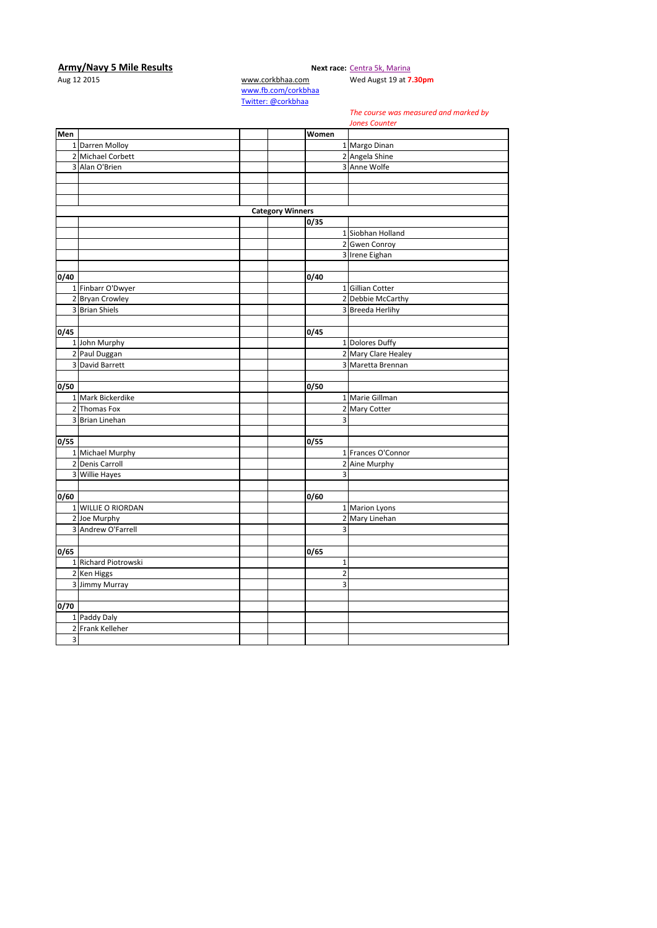## **Army/Navy 5 Mile Results Next race:** [Centra 5k, Marina](http://corkbhaa.com/races/centra/)

Aug 12 2015 [www.corkbhaa.com](http://www.corkbhaa.com/) Wed Augst 19 at **7.30pm**

[www.fb.com/corkbhaa](http://www.fb.com/corkbhaa) [Twitter: @corkbhaa](https://twitter.com/corkbhaa)

## *The course was measured and marked by*

**Men Women** 1 Darren Molloy 1 Margo Dinan 2 Michael Corbett 2 Angela Shine<br>
2 Angela Shine<br>
2 Angela Shine<br>
2 Angela Shine<br>
2 Angela Shine<br>
2 Angela Shine 3 Anne Wolfe **Category Winners 0/35** 1 Siobhan Holland 2 Gwen Conroy 3 Irene Eighan **0/40 0/40** 1 Finbarr O'Dwyer 1 Gillian Cotter 2 Bryan Crowley 2 Debbie McCarthy<br>
3 Brian Shiels 2 Debbie McCarthy<br>
2 Debbie McCarthy<br>
2 Debbie McCarthy 3 Breeda Herlihy **0/45 0/45** 1 John Murphy 1 Dolores Duffy<br>
2 Paul Duggan 2 Mary Clare He 2 Mary Clare Healey 3 David Barrett **3 March 2018** 1 March 2019 1 March 3 March 2019 1 March 3 March 2019 1 March 3 March 2019 1 March 2019 1 March 2019 1 March 2019 1 March 2019 1 March 2019 1 March 2019 1 March 2019 1 March 2019 1 March 201 **0/50 0/50** 1 Mark Bickerdike 1 Marie Gillman 2 Thomas Fox 1 Marie Gillman 2 Thomas Fox 2 Mary Cotter 3 Brian Linehan 3 3 Series and 3 3 Series and 3 3 Series and 3 3 Series and 3 3 Series and 3 3 Series and 3 3 Series and 3 3 Series and 3 Series and 3 Series and 3 Series and 3 Series and 3 Series and 3 Series and 3 Series **0/55 0/55** 1 Michael Murphy 1 Frances O'Connor 2 Denis Carroll 2 Aine Murphy 3 Willie Hayes 3 **0/60 0/60** 1 WILLIE O RIORDAN **1** Marion Lyons 2 Joe Murphy 2 Mary Linehan 3 Andrew O'Farrell 3 **0/65 0/65** 1 Richard Piotrowski 1<br>
2 Ken Higgs 1<br>
2 1 2 Ken Higgs 2<br>2 Jimmy Murray 2<br>2 Jimmy Murray 2 3 Jimmy Murray **0/70** 1 Paddy Daly 2 Frank Kelleher 3 *Jones Counter*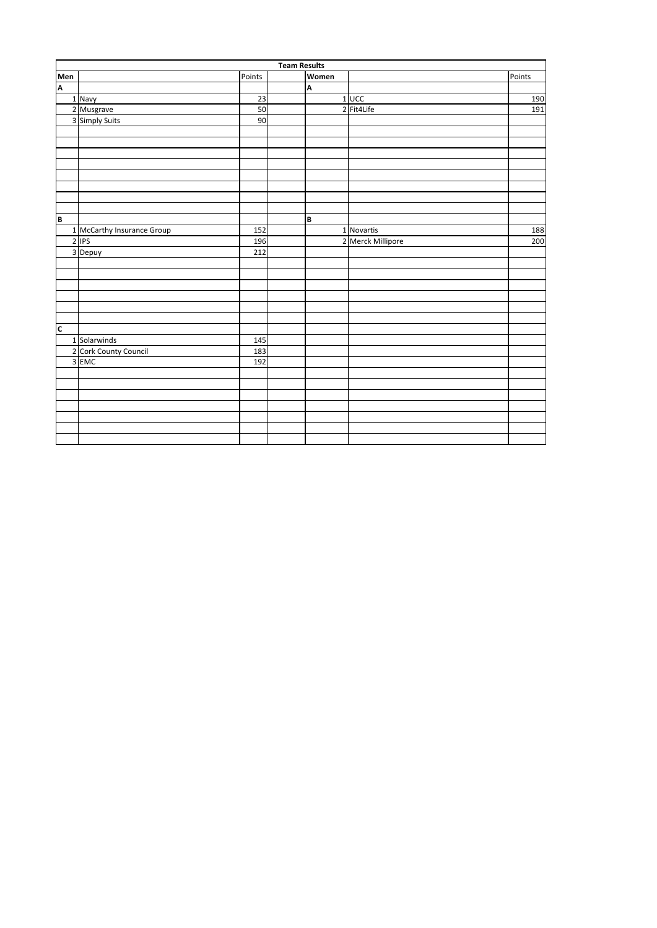|                         | <b>Team Results</b>        |        |  |       |                   |        |  |  |
|-------------------------|----------------------------|--------|--|-------|-------------------|--------|--|--|
| Men<br>A                |                            | Points |  | Women |                   | Points |  |  |
|                         |                            |        |  | A     |                   |        |  |  |
|                         | 1 Navy                     | 23     |  |       | $1$ UCC           | 190    |  |  |
|                         | 2 Musgrave                 | 50     |  |       | 2 Fit4Life        | 191    |  |  |
|                         | 3 Simply Suits             | 90     |  |       |                   |        |  |  |
|                         |                            |        |  |       |                   |        |  |  |
|                         |                            |        |  |       |                   |        |  |  |
|                         |                            |        |  |       |                   |        |  |  |
|                         |                            |        |  |       |                   |        |  |  |
|                         |                            |        |  |       |                   |        |  |  |
|                         |                            |        |  |       |                   |        |  |  |
|                         |                            |        |  |       |                   |        |  |  |
|                         |                            |        |  |       |                   |        |  |  |
| B                       |                            |        |  | B     |                   |        |  |  |
|                         | 1 McCarthy Insurance Group | 152    |  |       | 1 Novartis        | 188    |  |  |
|                         | $2$ IPS                    | 196    |  |       | 2 Merck Millipore | 200    |  |  |
|                         | 3 Depuy                    | 212    |  |       |                   |        |  |  |
|                         |                            |        |  |       |                   |        |  |  |
|                         |                            |        |  |       |                   |        |  |  |
|                         |                            |        |  |       |                   |        |  |  |
|                         |                            |        |  |       |                   |        |  |  |
|                         |                            |        |  |       |                   |        |  |  |
|                         |                            |        |  |       |                   |        |  |  |
| $\overline{\mathsf{c}}$ |                            |        |  |       |                   |        |  |  |
|                         | 1 Solarwinds               | 145    |  |       |                   |        |  |  |
|                         | 2 Cork County Council      | 183    |  |       |                   |        |  |  |
|                         | 3 EMC                      | 192    |  |       |                   |        |  |  |
|                         |                            |        |  |       |                   |        |  |  |
|                         |                            |        |  |       |                   |        |  |  |
|                         |                            |        |  |       |                   |        |  |  |
|                         |                            |        |  |       |                   |        |  |  |
|                         |                            |        |  |       |                   |        |  |  |
|                         |                            |        |  |       |                   |        |  |  |
|                         |                            |        |  |       |                   |        |  |  |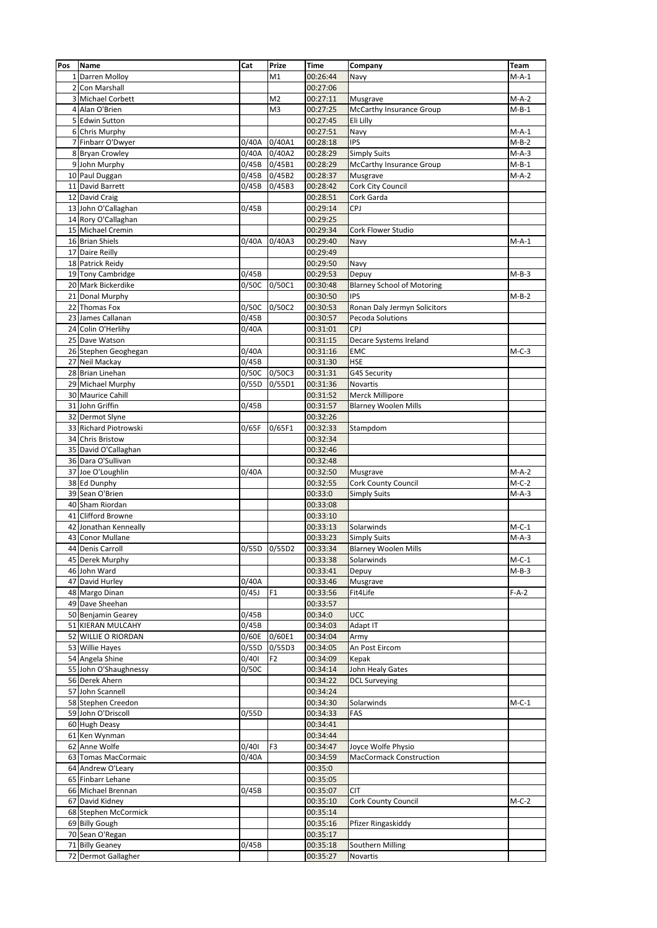| Pos | <b>Name</b>                          | Cat   | Prize               | Time     | Company                           | Team    |
|-----|--------------------------------------|-------|---------------------|----------|-----------------------------------|---------|
|     | 1 Darren Molloy                      |       | M1                  | 00:26:44 | Navy                              | $M-A-1$ |
|     | 2 Con Marshall                       |       |                     | 00:27:06 |                                   |         |
| 3   | <b>Michael Corbett</b>               |       | M2                  | 00:27:11 | Musgrave                          | $M-A-2$ |
| 4   | Alan O'Brien                         |       | M <sub>3</sub>      | 00:27:25 | McCarthy Insurance Group          | $M-B-1$ |
|     | 5 Edwin Sutton                       |       |                     | 00:27:45 | Eli Lilly                         |         |
|     | 6 Chris Murphy                       |       |                     | 00:27:51 | Navy                              | $M-A-1$ |
|     | 7 Finbarr O'Dwyer                    | 0/40A | 0/40A1              | 00:28:18 | <b>IPS</b>                        | $M-B-2$ |
|     | 8 Bryan Crowley                      | 0/40A | 0/40A2              | 00:28:29 | <b>Simply Suits</b>               | $M-A-3$ |
|     | 9 John Murphy                        | 0/45B | 0/45B1              | 00:28:29 | McCarthy Insurance Group          | $M-B-1$ |
|     | 10 Paul Duggan                       | 0/45B | 0/45B2              | 00:28:37 | Musgrave                          | $M-A-2$ |
|     | 11 David Barrett                     | 0/45B | 0/45B3              | 00:28:42 | Cork City Council                 |         |
|     | 12 David Craig                       |       |                     | 00:28:51 | Cork Garda                        |         |
|     | 13 John O'Callaghan                  | 0/45B |                     | 00:29:14 | CPJ                               |         |
|     | 14 Rory O'Callaghan                  |       |                     | 00:29:25 |                                   |         |
|     | 15 Michael Cremin                    |       |                     | 00:29:34 | Cork Flower Studio                |         |
|     | 16 Brian Shiels                      | 0/40A | 0/40A3              | 00:29:40 | Navy                              | $M-A-1$ |
|     | 17 Daire Reilly                      |       |                     | 00:29:49 |                                   |         |
|     | 18 Patrick Reidy                     |       |                     | 00:29:50 | Navy                              |         |
|     | 19 Tony Cambridge                    | 0/45B |                     | 00:29:53 | Depuy                             | $M-B-3$ |
|     | 20 Mark Bickerdike                   | 0/50C | 0/50C1              | 00:30:48 | <b>Blarney School of Motoring</b> |         |
|     | 21 Donal Murphy                      |       |                     | 00:30:50 | <b>IPS</b>                        | $M-B-2$ |
|     | 22 Thomas Fox                        | 0/50C |                     |          |                                   |         |
|     |                                      | 0/45B | 0/50C2              | 00:30:53 | Ronan Daly Jermyn Solicitors      |         |
|     | 23 James Callanan                    |       |                     | 00:30:57 | Pecoda Solutions                  |         |
|     | 24 Colin O'Herlihy<br>25 Dave Watson | 0/40A |                     | 00:31:01 | <b>CPJ</b>                        |         |
|     |                                      |       |                     | 00:31:15 | Decare Systems Ireland            |         |
|     | 26 Stephen Geoghegan                 | 0/40A |                     | 00:31:16 | EMC                               | $M-C-3$ |
|     | 27 Neil Mackay                       | 0/45B |                     | 00:31:30 | <b>HSE</b>                        |         |
|     | 28 Brian Linehan                     | 0/50C | 0/50C3              | 00:31:31 | G4S Security                      |         |
|     | 29 Michael Murphy                    | 0/55D | 0/55D1              | 00:31:36 | Novartis                          |         |
|     | 30 Maurice Cahill                    |       |                     | 00:31:52 | Merck Millipore                   |         |
|     | 31 John Griffin                      | 0/45B |                     | 00:31:57 | <b>Blarney Woolen Mills</b>       |         |
|     | 32 Dermot Slyne                      |       |                     | 00:32:26 |                                   |         |
|     | 33 Richard Piotrowski                | 0/65F | 0/65F1              | 00:32:33 | Stampdom                          |         |
|     | 34 Chris Bristow                     |       |                     | 00:32:34 |                                   |         |
|     | 35 David O'Callaghan                 |       |                     | 00:32:46 |                                   |         |
|     | 36 Dara O'Sullivan                   |       |                     | 00:32:48 |                                   |         |
|     | 37 Joe O'Loughlin                    | 0/40A |                     | 00:32:50 | Musgrave                          | $M-A-2$ |
|     | 38 Ed Dunphy                         |       |                     | 00:32:55 | Cork County Council               | $M-C-2$ |
|     | 39 Sean O'Brien                      |       |                     | 00:33:0  | <b>Simply Suits</b>               | $M-A-3$ |
|     | 40 Sham Riordan                      |       |                     | 00:33:08 |                                   |         |
|     | 41 Clifford Browne                   |       |                     | 00:33:10 |                                   |         |
|     | 42 Jonathan Kenneally                |       |                     | 00:33:13 | Solarwinds                        | $M-C-1$ |
| 43  | <b>Conor Mullane</b>                 |       |                     | 00:33:23 | <b>Simply Suits</b>               | $M-A-3$ |
|     | 44 Denis Carroll                     |       | 0/55D 0/55D2        | 00:33:34 | <b>Blarney Woolen Mills</b>       |         |
|     | 45 Derek Murphy                      |       |                     | 00:33:38 | Solarwinds                        | $M-C-1$ |
|     | 46 John Ward                         |       |                     | 00:33:41 | Depuy                             | $M-B-3$ |
|     | 47 David Hurley                      | 0/40A |                     | 00:33:46 | Musgrave                          |         |
|     | 48 Margo Dinan                       | 0/45J | F1                  | 00:33:56 | Fit4Life                          | $F-A-2$ |
|     | 49 Dave Sheehan                      |       |                     | 00:33:57 |                                   |         |
|     | 50 Benjamin Gearey                   | 0/45B |                     | 00:34:0  | UCC                               |         |
|     | 51 KIERAN MULCAHY                    | 0/45B |                     | 00:34:03 | Adapt IT                          |         |
|     | 52 WILLIE O RIORDAN                  | 0/60E | 0/60E1              | 00:34:04 | Army                              |         |
|     | 53 Willie Hayes                      | 0/55D | $\overline{0}/55D3$ | 00:34:05 | An Post Eircom                    |         |
|     | 54 Angela Shine                      | 0/401 | F <sub>2</sub>      | 00:34:09 | Kepak                             |         |
|     | 55 John O'Shaughnessy                | 0/50C |                     | 00:34:14 | John Healy Gates                  |         |
|     | 56 Derek Ahern                       |       |                     | 00:34:22 | <b>DCL Surveying</b>              |         |
|     | 57 John Scannell                     |       |                     | 00:34:24 |                                   |         |
|     | 58 Stephen Creedon                   |       |                     | 00:34:30 | Solarwinds                        | $M-C-1$ |
|     | 59 John O'Driscoll                   | 0/55D |                     | 00:34:33 | FAS                               |         |
|     | 60 Hugh Deasy                        |       |                     | 00:34:41 |                                   |         |
|     | 61 Ken Wynman                        |       |                     | 00:34:44 |                                   |         |
|     | 62 Anne Wolfe                        | 0/401 | F3                  | 00:34:47 | Joyce Wolfe Physio                |         |
|     | 63 Tomas MacCormaic                  | 0/40A |                     | 00:34:59 | <b>MacCormack Construction</b>    |         |
|     | 64 Andrew O'Leary                    |       |                     | 00:35:0  |                                   |         |
|     | 65 Finbarr Lehane                    |       |                     | 00:35:05 |                                   |         |
|     |                                      |       |                     |          |                                   |         |
|     | 66 Michael Brennan                   | 0/45B |                     | 00:35:07 | <b>CIT</b>                        |         |
|     | 67 David Kidney                      |       |                     | 00:35:10 | <b>Cork County Council</b>        | $M-C-2$ |
|     | 68 Stephen McCormick                 |       |                     | 00:35:14 |                                   |         |
|     | 69 Billy Gough                       |       |                     | 00:35:16 | Pfizer Ringaskiddy                |         |
|     | 70 Sean O'Regan                      |       |                     | 00:35:17 |                                   |         |
|     | 71 Billy Geaney                      | 0/45B |                     | 00:35:18 | Southern Milling                  |         |
|     | 72 Dermot Gallagher                  |       |                     | 00:35:27 | Novartis                          |         |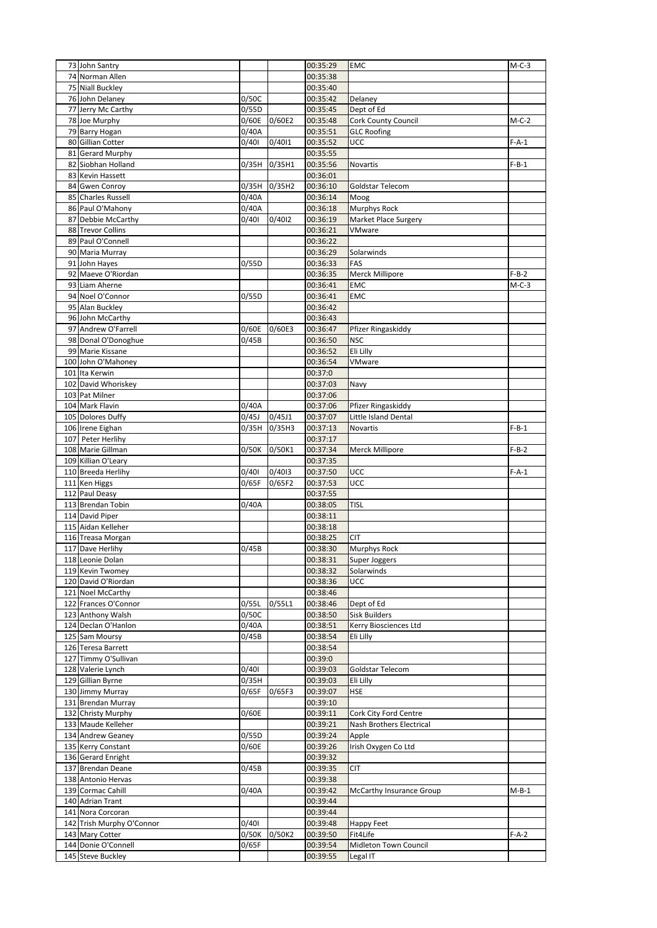| 73 John Santry                          |       |        | 00:35:29             | <b>EMC</b>                  | $M-C-3$ |
|-----------------------------------------|-------|--------|----------------------|-----------------------------|---------|
| 74 Norman Allen                         |       |        | 00:35:38             |                             |         |
| 75 Niall Buckley                        |       |        | 00:35:40             |                             |         |
| 76 John Delaney                         | 0/50C |        | 00:35:42             | Delaney                     |         |
| 77 Jerry Mc Carthy                      | 0/55D |        | 00:35:45             | Dept of Ed                  |         |
| 78 Joe Murphy                           | 0/60E | 0/60E2 | 00:35:48             | Cork County Council         | $M-C-2$ |
| 79 Barry Hogan                          | 0/40A |        | 00:35:51             | <b>GLC Roofing</b>          |         |
| 80 Gillian Cotter                       | 0/401 | 0/4011 | 00:35:52             | UCC                         | $F-A-1$ |
| 81 Gerard Murphy                        |       |        | 00:35:55             |                             |         |
| 82 Siobhan Holland                      | 0/35H | 0/35H1 | 00:35:56             | Novartis                    | $F-B-1$ |
| 83 Kevin Hassett                        |       |        | 00:36:01             |                             |         |
| 84 Gwen Conroy                          | 0/35H | 0/35H2 | 00:36:10             | Goldstar Telecom            |         |
| 85 Charles Russell                      | 0/40A |        | 00:36:14             | Moog                        |         |
| 86 Paul O'Mahony                        | 0/40A |        | 00:36:18             | Murphys Rock                |         |
| 87 Debbie McCarthy                      | 0/401 | 0/4012 | 00:36:19             | Market Place Surgery        |         |
| 88 Trevor Collins                       |       |        | 00:36:21             | VMware                      |         |
| 89 Paul O'Connell                       |       |        | 00:36:22             |                             |         |
| 90 Maria Murray                         |       |        | 00:36:29             | Solarwinds                  |         |
| 91 John Hayes                           | 0/55D |        | 00:36:33             | FAS                         |         |
| 92 Maeve O'Riordan                      |       |        | 00:36:35             | <b>Merck Millipore</b>      | $F-B-2$ |
| 93 Liam Aherne                          |       |        | 00:36:41             | EMC                         | $M-C-3$ |
| 94 Noel O'Connor                        | 0/55D |        | 00:36:41             | <b>EMC</b>                  |         |
| 95 Alan Buckley                         |       |        | 00:36:42             |                             |         |
| 96 John McCarthy                        |       |        | 00:36:43             |                             |         |
| 97 Andrew O'Farrell                     | 0/60E | 0/60E3 | 00:36:47             | Pfizer Ringaskiddy          |         |
| 98 Donal O'Donoghue                     | 0/45B |        | 00:36:50             | <b>NSC</b>                  |         |
| 99 Marie Kissane                        |       |        | 00:36:52             | Eli Lilly                   |         |
| 100 John O'Mahoney                      |       |        | 00:36:54             | VMware                      |         |
| 101 Ita Kerwin                          |       |        | 00:37:0              |                             |         |
| 102 David Whoriskey                     |       |        | 00:37:03             | Navy                        |         |
| 103 Pat Milner                          |       |        | 00:37:06             |                             |         |
| 104 Mark Flavin                         | 0/40A |        | 00:37:06             | Pfizer Ringaskiddy          |         |
| 105 Dolores Duffy                       | 0/45J | 0/45J1 | 00:37:07             | Little Island Dental        |         |
| 106 Irene Eighan                        | 0/35H | 0/35H3 | 00:37:13             | Novartis                    | $F-B-1$ |
| 107 Peter Herlihy                       |       |        | 00:37:17             |                             |         |
| 108 Marie Gillman                       | 0/50K | 0/50K1 | 00:37:34             | Merck Millipore             | $F-B-2$ |
| 109 Killian O'Leary                     |       |        | 00:37:35             |                             |         |
| 110 Breeda Herlihy                      | 0/401 | 0/4013 | 00:37:50             | UCC                         | $F-A-1$ |
| 111 Ken Higgs                           | 0/65F | 0/65F2 | 00:37:53             | UCC                         |         |
| 112 Paul Deasy                          |       |        | 00:37:55             |                             |         |
| 113 Brendan Tobin                       | 0/40A |        | 00:38:05             | <b>TISL</b>                 |         |
| 114 David Piper                         |       |        | 00:38:11             |                             |         |
| 115 Aidan Kelleher<br>116 Treasa Morgan |       |        | 00:38:18             |                             |         |
| 117 Dave Herlihy                        | 0/45B |        | 00:38:25<br>00:38:30 | CIT<br>Murphys Rock         |         |
| 118 Leonie Dolan                        |       |        | 00:38:31             |                             |         |
| 119 Kevin Twomey                        |       |        | 00:38:32             | Super Joggers<br>Solarwinds |         |
| 120 David O'Riordan                     |       |        | 00:38:36             | UCC                         |         |
| 121 Noel McCarthy                       |       |        | 00:38:46             |                             |         |
| 122 Frances O'Connor                    | 0/55L | 0/55L1 | 00:38:46             | Dept of Ed                  |         |
| 123 Anthony Walsh                       | 0/50C |        | 00:38:50             | <b>Sisk Builders</b>        |         |
| 124 Declan O'Hanlon                     | 0/40A |        | 00:38:51             | Kerry Biosciences Ltd       |         |
| 125 Sam Moursy                          | 0/45B |        | 00:38:54             | Eli Lilly                   |         |
| 126 Teresa Barrett                      |       |        | 00:38:54             |                             |         |
| 127 Timmy O'Sullivan                    |       |        | 00:39:0              |                             |         |
| 128 Valerie Lynch                       | 0/401 |        | 00:39:03             | Goldstar Telecom            |         |
| 129 Gillian Byrne                       | 0/35H |        | 00:39:03             | Eli Lilly                   |         |
| 130 Jimmy Murray                        | 0/65F | 0/65F3 | 00:39:07             | <b>HSE</b>                  |         |
| 131 Brendan Murray                      |       |        | 00:39:10             |                             |         |
| 132 Christy Murphy                      | 0/60E |        | 00:39:11             | Cork City Ford Centre       |         |
| 133 Maude Kelleher                      |       |        | 00:39:21             | Nash Brothers Electrical    |         |
| 134 Andrew Geaney                       | 0/55D |        | 00:39:24             | Apple                       |         |
| 135 Kerry Constant                      | 0/60E |        | 00:39:26             | Irish Oxygen Co Ltd         |         |
| 136 Gerard Enright                      |       |        | 00:39:32             |                             |         |
| 137 Brendan Deane                       | 0/45B |        | 00:39:35             | CIT                         |         |
| 138 Antonio Hervas                      |       |        | 00:39:38             |                             |         |
| 139 Cormac Cahill                       | 0/40A |        | 00:39:42             | McCarthy Insurance Group    | $M-B-1$ |
| 140 Adrian Trant                        |       |        | 00:39:44             |                             |         |
| 141 Nora Corcoran                       |       |        | 00:39:44             |                             |         |
| 142 Trish Murphy O'Connor               | 0/401 |        | 00:39:48             | Happy Feet                  |         |
| 143 Mary Cotter                         | 0/50K | 0/50K2 | 00:39:50             | Fit4Life                    | $F-A-2$ |
| 144 Donie O'Connell                     | 0/65F |        | 00:39:54             | Midleton Town Council       |         |
| 145 Steve Buckley                       |       |        | 00:39:55             | Legal IT                    |         |
|                                         |       |        |                      |                             |         |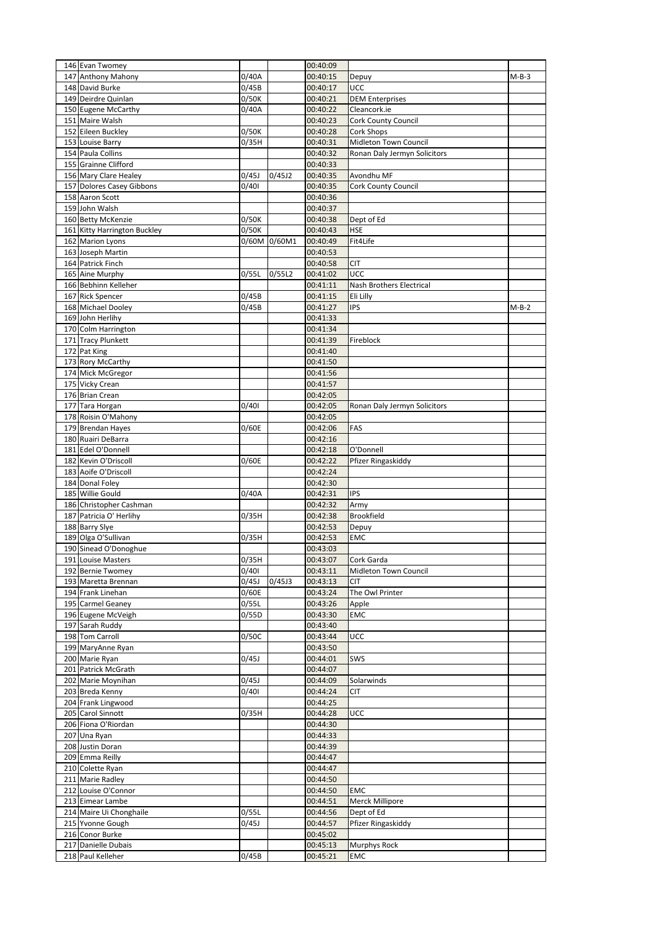| 146 Evan Twomey                               |       |        | 00:40:09             |                              |         |
|-----------------------------------------------|-------|--------|----------------------|------------------------------|---------|
| 147 Anthony Mahony                            | 0/40A |        | 00:40:15             | Depuy                        | $M-B-3$ |
| 148 David Burke                               | 0/45B |        | 00:40:17             | UCC                          |         |
| 149 Deirdre Quinlan                           | 0/50K |        | 00:40:21             | <b>DEM Enterprises</b>       |         |
| 150 Eugene McCarthy                           | 0/40A |        | 00:40:22             | Cleancork.ie                 |         |
| 151 Maire Walsh                               |       |        | 00:40:23             | Cork County Council          |         |
| 152 Eileen Buckley                            | 0/50K |        | 00:40:28             | Cork Shops                   |         |
| 153 Louise Barry                              | 0/35H |        | 00:40:31             | Midleton Town Council        |         |
| 154 Paula Collins                             |       |        | 00:40:32<br>00:40:33 | Ronan Daly Jermyn Solicitors |         |
| 155 Grainne Clifford<br>156 Mary Clare Healey | 0/45J | 0/45J2 | 00:40:35             | Avondhu MF                   |         |
| 157 Dolores Casey Gibbons                     | 0/401 |        | 00:40:35             | <b>Cork County Council</b>   |         |
| 158 Aaron Scott                               |       |        | 00:40:36             |                              |         |
| 159 John Walsh                                |       |        | 00:40:37             |                              |         |
| 160 Betty McKenzie                            | 0/50K |        | 00:40:38             | Dept of Ed                   |         |
| 161 Kitty Harrington Buckley                  | 0/50K |        | 00:40:43             | HSE                          |         |
| 162 Marion Lyons                              | 0/60M | 0/60M1 | 00:40:49             | Fit4Life                     |         |
| 163 Joseph Martin                             |       |        | 00:40:53             |                              |         |
| 164 Patrick Finch                             |       |        | 00:40:58             | <b>CIT</b>                   |         |
| 165 Aine Murphy                               | 0/55L | 0/55L2 | 00:41:02             | UCC                          |         |
| 166 Bebhinn Kelleher                          |       |        | 00:41:11             | Nash Brothers Electrical     |         |
| 167 Rick Spencer                              | 0/45B |        | 00:41:15             | Eli Lilly                    |         |
| 168 Michael Dooley                            | 0/45B |        | 00:41:27             | IPS                          | M-B-2   |
| 169 John Herlihy                              |       |        | 00:41:33             |                              |         |
| 170 Colm Harrington                           |       |        | 00:41:34             |                              |         |
| 171 Tracy Plunkett                            |       |        | 00:41:39             | Fireblock                    |         |
| 172 Pat King<br>173 Rory McCarthy             |       |        | 00:41:40<br>00:41:50 |                              |         |
| 174 Mick McGregor                             |       |        | 00:41:56             |                              |         |
| 175 Vicky Crean                               |       |        | 00:41:57             |                              |         |
| 176 Brian Crean                               |       |        | 00:42:05             |                              |         |
| 177 Tara Horgan                               | 0/401 |        | 00:42:05             | Ronan Daly Jermyn Solicitors |         |
| 178 Roisin O'Mahony                           |       |        | 00:42:05             |                              |         |
| 179 Brendan Hayes                             | 0/60E |        | 00:42:06             | FAS                          |         |
| 180 Ruairi DeBarra                            |       |        | 00:42:16             |                              |         |
| 181 Edel O'Donnell                            |       |        | 00:42:18             | O'Donnell                    |         |
| 182 Kevin O'Driscoll                          | 0/60E |        | 00:42:22             | Pfizer Ringaskiddy           |         |
| 183 Aoife O'Driscoll                          |       |        | 00:42:24             |                              |         |
| 184 Donal Foley<br>185 Willie Gould           | 0/40A |        | 00:42:30<br>00:42:31 | <b>IPS</b>                   |         |
| 186 Christopher Cashman                       |       |        | 00:42:32             | Army                         |         |
| 187 Patricia O' Herlihy                       | 0/35H |        | 00:42:38             | <b>Brookfield</b>            |         |
| 188 Barry Slye                                |       |        | 00:42:53             | Depuy                        |         |
| 189 Olga O'Sullivan                           | 0/35H |        | 00:42:53             | EMC                          |         |
| 190 Sinead O'Donoghue                         |       |        | 00:43:03             |                              |         |
| 191 Louise Masters                            | 0/35H |        | 00:43:07             | Cork Garda                   |         |
| 192 Bernie Twomey                             | 0/401 |        | 00:43:11             | Midleton Town Council        |         |
| 193 Maretta Brennan                           | 0/45J | 0/45J3 | 00:43:13             | CIT                          |         |
| 194 Frank Linehan                             | 0/60E |        | 00:43:24             | The Owl Printer              |         |
| 195 Carmel Geaney                             | 0/55L |        | 00:43:26             | Apple                        |         |
| 196 Eugene McVeigh<br>197 Sarah Ruddy         | 0/55D |        | 00:43:30<br>00:43:40 | EMC                          |         |
| 198 Tom Carroll                               | 0/50C |        | 00:43:44             | UCC                          |         |
| 199 MaryAnne Ryan                             |       |        | 00:43:50             |                              |         |
| 200 Marie Ryan                                | 0/45J |        | 00:44:01             | SWS                          |         |
| 201 Patrick McGrath                           |       |        | 00:44:07             |                              |         |
| 202 Marie Moynihan                            | 0/45J |        | 00:44:09             | Solarwinds                   |         |
| 203 Breda Kenny                               | 0/401 |        | 00:44:24             | CIT                          |         |
| 204 Frank Lingwood                            |       |        | 00:44:25             |                              |         |
| 205 Carol Sinnott                             | 0/35H |        | 00:44:28             | UCC                          |         |
| 206 Fiona O'Riordan                           |       |        | 00:44:30             |                              |         |
| 207 Una Ryan                                  |       |        | 00:44:33             |                              |         |
| 208 Justin Doran                              |       |        | 00:44:39             |                              |         |
| 209 Emma Reilly<br>210 Colette Ryan           |       |        | 00:44:47<br>00:44:47 |                              |         |
| 211 Marie Radley                              |       |        | 00:44:50             |                              |         |
| 212 Louise O'Connor                           |       |        | 00:44:50             | EMC                          |         |
| 213 Eimear Lambe                              |       |        | 00:44:51             | Merck Millipore              |         |
| 214 Maire Ui Chonghaile                       | 0/55L |        | 00:44:56             | Dept of Ed                   |         |
| 215 Yvonne Gough                              | 0/45J |        | 00:44:57             | Pfizer Ringaskiddy           |         |
| 216 Conor Burke                               |       |        | 00:45:02             |                              |         |
| 217 Danielle Dubais                           |       |        | 00:45:13             | Murphys Rock                 |         |
| 218 Paul Kelleher                             | 0/45B |        | 00:45:21             | EMC                          |         |